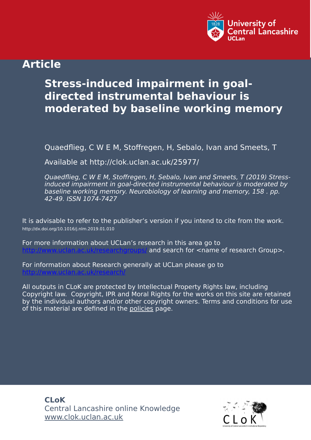

## **Article**

# **Stress-induced impairment in goaldirected instrumental behaviour is moderated by baseline working memory**

Quaedflieg, C W E M, Stoffregen, H, Sebalo, Ivan and Smeets, T

Available at http://clok.uclan.ac.uk/25977/

Quaedflieg, C W E M, Stoffregen, H, Sebalo, Ivan and Smeets, T (2019) Stressinduced impairment in goal-directed instrumental behaviour is moderated by baseline working memory. Neurobiology of learning and memory, 158 . pp. 42-49. ISSN 1074-7427

It is advisable to refer to the publisher's version if you intend to cite from the work. http://dx.doi.org/10.1016/j.nlm.2019.01.010

For more information about UCLan's research in this area go to and search for  $\leq$ name of research Group>.

For information about Research generally at UCLan please go to <http://www.uclan.ac.uk/research/>

All outputs in CLoK are protected by Intellectual Property Rights law, including Copyright law. Copyright, IPR and Moral Rights for the works on this site are retained by the individual authors and/or other copyright owners. Terms and conditions for use of this material are defined in the [policies](https://clok.uclan.ac.uk/policies.html) page.

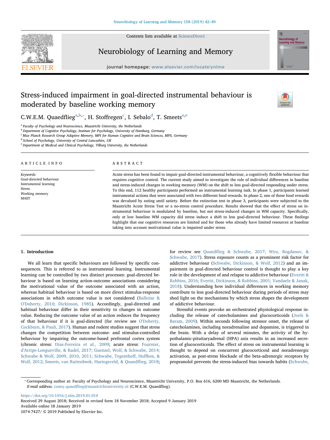

Contents lists available at [ScienceDirect](http://www.sciencedirect.com/science/journal/10747427)

### Neurobiology of Learning and Memory

 $j<sub>i</sub>$  and  $k<sub>i</sub>$  homepage: we want the complex  $j<sub>i</sub>$ 



## Stress-induced impairment in goal-directed instrumental behaviour is moderated by baseline working memory



C.W.E.M. Quaedflieg<sup>[a,](#page-1-0)[b](#page-1-1),\*</sup>, H. Stoffregen<sup>[c](#page-1-3)</sup>, I. Sebalo<sup>[d](#page-1-4)</sup>, T. Smeets<sup>[a](#page-1-0)[,e](#page-1-5)</sup>

<span id="page-1-0"></span><sup>a</sup> Faculty of Psychology and Neuroscience, Maastricht University, the Netherlands

<span id="page-1-1"></span>**b** Department of Cognitive Psychology, Institute for Psychology, University of Hamburg, Germany

<span id="page-1-3"></span><sup>c</sup> Max Planck Research Group Adaptive Memory, MPI for Human Cognitive and Brain Sciences, MPS, Germany

<span id="page-1-4"></span><sup>d</sup> School of Psychology, University of Central Lancashire, UK

<span id="page-1-5"></span><sup>e</sup> Department of Medical and Clinical Psychology, Tilburg University, the Netherlands

#### ARTICLE INFO

Keywords: Goal-directed behaviour Instrumental learning Stress Working memory MAST

#### ABSTRACT

Acute stress has been found to impair goal-directed instrumental behaviour, a cognitively flexible behaviour that requires cognitive control. The current study aimed to investigate the role of individual differences in baseline and stress-induced changes in working memory (WM) on the shift to less goal-directed responding under stress. To this end, 112 healthy participants performed an instrumental learning task. In phase 1, participants learned instrumental actions that were associated with two different food rewards. In phase 2, one of these food rewards was devalued by eating until satiety. Before the extinction test in phase 3, participants were subjected to the Maastricht Acute Stress Test or a no-stress control procedure. Results showed that the effect of stress on instrumental behaviour is modulated by baseline, but not stress-induced changes in WM capacity. Specifically, only at low baseline WM capacity did stress induce a shift to less goal-directed behaviour. These findings highlight that our cognitive resources are limited and for those who already have limited resources at baseline taking into account motivational value is impaired under stress.

#### 1. Introduction

We all learn that specific behaviours are followed by specific consequences. This is referred to as instrumental learning. Instrumental learning can be controlled by two distinct processes: goal-directed behaviour is based on learning action-outcome associations considering the motivational value of the outcome associated with an action, whereas habitual behaviour is based on more direct stimulus-response associations in which outcome value is not considered [\(Balleine &](#page-7-0) [O'Doherty, 2010; Dickinson, 1985](#page-7-0)). Accordingly, goal-directed and habitual behaviour differ in their sensitivity to changes in outcome value. Reducing the outcome value of an action reduces the frequency of that behaviour if it is goal-directed (for review see [O'Doherty,](#page-7-1) [Cockburn, & Pauli, 2017\)](#page-7-1). Human and rodent studies suggest that stress changes the competition between outcome- and stimulus-controlled behaviour by impairing the outcome-based prefrontal cortex system (chronic stress: [Dias-Ferreira et al., 2009](#page-7-2); acute stress: [Fournier,](#page-7-3) [d'Arripe-Longueville, & Radel, 2017; Guenzel, Wolf, & Schwabe, 2014;](#page-7-3) [Schwabe & Wolf, 2009, 2010, 2011; Schwabe, Tegentho](#page-7-3)ff, Hoffken, & [Wolf, 2012; Smeets, van Ruitenbeek, Hartogsveld, & Quaed](#page-7-3)flieg, 2018; for review see Quaedfl[ieg & Schwabe, 2017; Wirz, Bogdanov, &](#page-7-4) [Schwabe, 2017\)](#page-7-4). Stress exposure counts as a prominent risk factor for addictive behaviour [\(Schwabe, Dickinson, & Wolf, 2012](#page-8-0)) and an impairment in goal-directed behaviour control is thought to play a key role in the development of and relapse to addictive behaviour [\(Everitt &](#page-7-5) [Robbins, 2016; Everitt, Dickinson, & Robbins, 2001; Vandaele & Janak,](#page-7-5) [2018\)](#page-7-5). Understanding how individual differences in working memory contribute to less goal-directed behaviour during periods of stress may shed light on the mechanisms by which stress shapes the development of addictive behaviour.

Stressful events provoke an orchestrated physiological response including the release of catecholamines and glucocorticoids ([Joels &](#page-7-6) [Baram, 2009\)](#page-7-6). Within seconds following stressor onset, the release of catecholamines, including noradrenaline and dopamine, is triggered in the brain. With a delay of several minutes, the activity of the hypothalamic-pituitaryadrenal (HPA) axis results in an increased secretion of glucocorticoids. The effect of stress on instrumental learning is thought to depend on concurrent glucocorticoid and noradrenergic activation, as post-stress blockade of the beta-adrenergic receptors by propranolol prevents the stress-induced bias towards habits [\(Schwabe,](#page-8-1)

<https://doi.org/10.1016/j.nlm.2019.01.010> Received 29 August 2018; Received in revised form 18 November 2018; Accepted 9 January 2019 Available online 18 January 2019 1074-7427/ © 2019 Published by Elsevier Inc.

<span id="page-1-2"></span><sup>⁎</sup> Corresponding author at: Faculty of Psychology and Neuroscience, Maastricht University, P.O. Box 616, 6200 MD Maastricht, the Netherlands. E-mail address: conny.quaedfl[ieg@maastrichtuniversity.nl](mailto:conny.quaedflieg@maastrichtuniversity.nl) (C.W.E.M. Quaedflieg).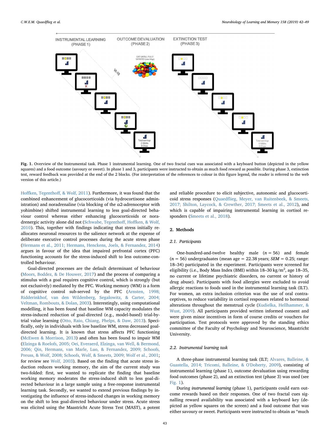<span id="page-2-0"></span>

Fig. 1. Overview of the Instrumental task. Phase 1 instrumental learning. One of two fractal cues was associated with a keyboard button (depicted in the yellow squares) and a food outcome (savoury or sweet). In phase 1 and 3, participants were instructed to obtain as much food reward as possible. During phase 3, extinction test, reward feedback was provided at the end of the 2 blocks. (For interpretation of the references to colour in this figure legend, the reader is referred to the web version of this article.)

Hoffken, Tegenthoff[, & Wolf, 2011](#page-8-1)). Furthermore, it was found that the combined enhancement of glucocorticoids (via hydrocortisone administration) and noradrenaline (via blocking of the  $\alpha$ 2-adrenoceptor with yohimbine) shifted instrumental learning to less goal-directed behaviour control whereas either enhancing glucocorticoids or noradrenergic activity alone did not [\(Schwabe, Tegentho](#page-8-2)ff, Hoffken, & Wolf, [2010\)](#page-8-2). This, together with findings indicating that stress initially reallocates neuronal resources to the salience network at the expense of deliberate executive control processes during the acute stress phase ([Hermans et al., 2011; Hermans, Henckens, Joels, & Fernandez, 2014\)](#page-7-7) argues in favour of the idea that impaired prefrontal cortex (PFC) functioning accounts for the stress-induced shift to less outcome-controlled behaviour.

Goal-directed processes are the default determinant of behaviour ([Moors, Boddez, & De Houwer, 2017](#page-7-8)) and the process of comparing a stimulus with a goal requires cognitive control, which is strongly (but not exclusively) mediated by the PFC. Working memory (WM) is a form of cognitive control sub-served by the PFC [\(Arnsten, 1998;](#page-7-9) [Ridderinkhof, van den Wildenberg, Segalowitz, & Carter, 2004;](#page-7-9) [Veltman, Rombouts, & Dolan, 2003](#page-7-9)). Interestingly, using computational modelling, it has been found that baseline WM capacity modulates the stress-induced reduction of goal-directed (e.g., model-based) trial-bytrial value learning [\(Otto, Raio, Chiang, Phelps, & Daw, 2013](#page-7-10)). Specifically, only in individuals with low baseline WM, stress decreased goaldirected learning. It is known that stress affects PFC functioning ([McEwen & Morrison, 2013](#page-7-11)) and often has been found to impair WM ([Elzinga & Roelofs, 2005; Oei, Everaerd, Elzinga, van Well, & Bermond,](#page-7-12) [2006; Qin, Hermans, van Marle, Luo, & Fernandez, 2009; Schoofs,](#page-7-12) [Preuss, & Wolf, 2008; Schoofs, Wolf, & Smeets, 2009; Wolf et al., 2001](#page-7-12); for review see [Wolf, 2003\)](#page-8-3). Based on the finding that acute stress induction reduces working memory, the aim of the current study was two-folded: first, we wanted to replicate the finding that baseline working memory moderates the stress-induced shift to less goal-directed behaviour in a large sample using a free-response instrumental learning task. Secondly, we wanted to extend previous findings by investigating the influence of stress-induced changes in working memory on the shift to less goal-directed behaviour under stress. Acute stress was elicited using the Maastricht Acute Stress Test (MAST), a potent

and reliable procedure to elicit subjective, autonomic and glucocorticoid stress responses (Quaedfl[ieg, Meyer, van Ruitenbeek, & Smeets,](#page-7-13) [2017; Shilton, Laycock, & Crewther, 2017; Smeets et al., 2012\)](#page-7-13), and which is capable of impairing instrumental learning in cortisol responders [\(Smeets et al., 2018](#page-8-4)).

#### 2. Methods

#### 2.1. Participants

One-hundred-and-twelve healthy male  $(n = 56)$  and female ( $n = 56$ ) undergraduates (mean age = 22.38 years;  $SEM = 0.25$ ; range: 18–34) participated in the experiment. Participants were screened for eligibility (i.e., Body Mass Index (BMI) within 18-30 kg/m<sup>2</sup>, age 18-35, no current or lifetime psychiatric disorders, no current or history of drug abuse). Participants with food allergies were excluded to avoid allergic reactions to foods used in the instrumental learning task (ILT). For women, an extra inclusion criterion was the use of oral contraceptives, to reduce variability in cortisol responses related to hormonal alterations throughout the menstrual cycle [\(Kudielka, Hellhammer, &](#page-7-14) [Wust, 2009\)](#page-7-14). All participants provided written informed consent and were given minor incentives in form of course credits or vouchers for participation. Test protocols were approved by the standing ethics committee of the Faculty of Psychology and Neuroscience, Maastricht University.

#### 2.2. Instrumental learning task

A three-phase instrumental learning task (ILT; [Alvares, Balleine, &](#page-7-15) [Guastella, 2014; Tricomi, Balleine, & O'Doherty, 2009\)](#page-7-15), consisting of instrumental learning (phase 1), outcome devaluation using rewarding food outcomes (phase 2), and an extinction test (phase 3) was used (see [Fig. 1\)](#page-2-0).

During instrumental learning (phase 1), participants could earn outcome rewards based on their responses. One of two fractal cues signalling reward availability was associated with a keyboard key (depicted as yellow squares on the screen) and a food outcome that was either savoury or sweet. Participants were instructed to obtain as "much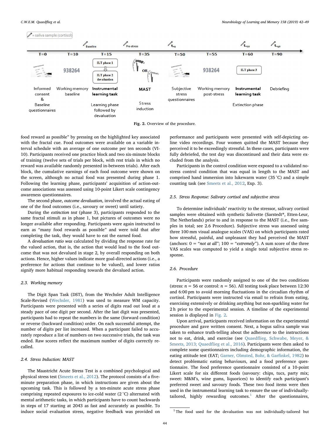<span id="page-3-0"></span>

Fig. 2. Overview of the procedure.

food reward as possible" by pressing on the highlighted key associated with the fractal cue. Food outcomes were available on a variable interval schedule with an average of one outcome per ten seconds (VI-10). Participants received one practice block and two six-minute blocks of training (twelve sets of trials per block, with rest trials in which no reward was available randomly presented in-between trials). After each block, the cumulative earnings of each food outcome were shown on the screen, although no actual food was presented during phase 1. Following the learning phase, participants' acquisition of action-outcome associations was assessed using 10-point Likert scale contingency awareness questionnaires.

The second phase, outcome devaluation, involved the actual eating of one of the food outcomes (i.e., savoury or sweet) until satiety.

During the extinction test (phase 3), participants responded to the same fractal stimuli as in phase 1, but pictures of outcomes were no longer available after responding. Participants were again instructed to earn as "many food rewards as possible" and were told that after completing the task, they would have to eat the earned food.

A devaluation ratio was calculated by dividing the response rate for the valued action, that is, the action that would lead to the food outcome that was not devalued in stage 2, by overall responding on both actions. Hence, higher values indicate more goal-directed actions (i.e., a preference for actions that continue to be valued), and lower ratios signify more habitual responding towards the devalued action.

#### 2.3. Working memory

The Digit Span Task (DST), from the Wechsler Adult Intelligence Scale-Revised ([Wechsler, 1981](#page-8-5)) was used to measure WM capacity. Participants were presented with a series of digits read out loud at a steady pace of one digit per second. After the last digit was presented, participants had to repeat the numbers in the same (forward condition) or reverse (backward condition) order. On each successful attempt, the number of digits per list increased. When a participant failed to accurately reproduce a list of numbers on two successive trials, the task was ended. Raw scores reflect the maximum number of digits correctly recalled.

#### 2.4. Stress Induction: MAST

The Maastricht Acute Stress Test is a combined psychological and physical stress test ([Smeets et al., 2012](#page-8-6)). The protocol consists of a fiveminute preparation phase, in which instructions are given about the upcoming task. This is followed by a ten-minute acute stress phase comprising repeated exposures to ice-cold water (2 °C) alternated with mental arithmetic tasks, in which participants have to count backwards in steps of 17 starting at 2043 as fast and accurately as possible. To induce social evaluation stress, negative feedback was provided on performance and participants were presented with self-depicting online video recordings. Four women quitted the MAST because they perceived it to be exceedingly stressful. In these cases, participants were fully debriefed, the test day was discontinued and their data were excluded from the analysis.

Participants in the control condition were exposed to a validated nostress control condition that was equal in length to the MAST and comprised hand immersion into lukewarm water (35 °C) and a simple counting task (see [Smeets et al., 2012,](#page-8-6) Exp. 3).

#### 2.5. Stress Response: Salivary cortisol and subjective stress

To determine individuals' reactivity to the stressor, salivary cortisol samples were obtained with synthetic Salivette (Sarstedt®, Etten-Leur, The Netherlands) prior to and in response to the MAST (i.e., five samples in total; see 2.6 Procedure). Subjective stress was assessed using three 100 mm visual analogue scales (VAS) on which participants rated how stressful, painful, and unpleasant they had perceived the MAST (anchors:  $0 = \text{``not at all''}; 100 = \text{``extremely''}.$  A sum score of the three VAS scales was computed to yield a single total subjective stress response.

#### 2.6. Procedure

Participants were randomly assigned to one of the two conditions (stress:  $n = 56$  or control:  $n = 56$ ). All testing took place between 12:30 and 6:00 pm to avoid morning fluctuations in the circadian rhythm of cortisol. Participants were instructed via email to refrain from eating, exercising extensively or drinking anything but non-sparkling water for 2 h prior to the experimental session. A timeline of the experimental session is displayed in [Fig. 2](#page-3-0).

Upon arrival, participants received information on the experimental procedure and gave written consent. Next, a bogus saliva sample was taken to enhance truth-telling about the adherence to the instructions not to eat, drink, and exercise (see Quaedfl[ieg, Schwabe, Meyer, &](#page-7-16) [Smeets, 2013; Quaed](#page-7-16)flieg et al., 2016). Participants were then asked to complete some questionnaires including demographic information, the eating attitude test (EAT; [Garner, Olmsted, Bohr, & Gar](#page-7-17)finkel, 1982) to detect problematic eating behaviours, and a food preference questionnaire. The food preference questionnaire consisted of a 10-point Likert scale for six different foods (savoury: chips, tucs, party mix; sweet: M&M's, wine gums, liquorices) to identify each participant's preferred sweet and savoury foods. These two food items were then used in the instrumental learning task to ensure the use of individually-tailored, highly rewarding outcomes.<sup>[1](#page-3-1)</sup> After the questionnaires,

<span id="page-3-1"></span> $1$ <sup>1</sup> The food used for the devaluation was not individually-tailored but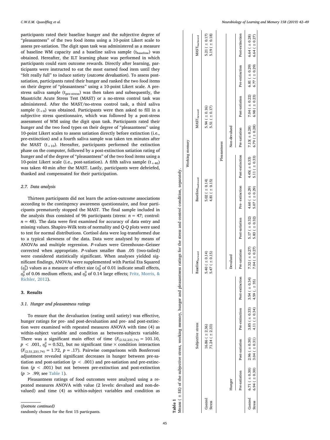participants rated their baseline hunger and the subjective degree of "pleasantness" of the two food items using a 10-point Likert scale to assess pre-satiation. The digit span task was administered as a measure of baseline WM capacity and a baseline saliva sample  $(t_{\text{baseline}})$  was obtained. Hereafter, the ILT learning phase was performed in which participants could earn outcome rewards. Directly after learning, participants were instructed to eat the most earned food item until they "felt really full" to induce satiety (outcome devaluation). To assess postsatiation, participants rated their hunger and ranked the two food items on their degree of "pleasantness" using a 10-point Likert scale. A prestress saliva sample (t<sub>pre-stress</sub>) was then taken and subsequently, the Maastricht Acute Stress Test (MAST) or a no-stress control task was administered. After the MAST/no-stress control task, a third saliva sample  $(t_{+0})$  was obtained. Participants were then asked to fill in a subjective stress questionnaire, which was followed by a post-stress assessment of WM using the digit span task. Participants rated their hunger and the two food types on their degree of "pleasantness" using 10-point Likert scales to assess satiation directly before extinction (i.e., pre-extinction) and a fourth saliva sample was taken ten minutes after the MAST  $(t_{+10})$ . Hereafter, participants performed the extinction phase on the computer, followed by a post-extinction satiation rating of hunger and of the degree of "pleasantness" of the two food items using a 10-point Likert scale (i.e., post-satiation). A fifth saliva sample  $(t_{+40})$ was taken 40 min after the MAST. Lastly, participants were debriefed, thanked and compensated for their participation.

#### 2.7. Data analysis

Thirteen participants did not learn the action-outcome associations according to the contingency awareness questionnaire, and four participants prematurely stopped the MAST. The final sample included in the analysis thus consisted of 96 participants (stress:  $n = 47$ ; control:  $n = 48$ ). The data were first examined for accuracy of data entry and missing values. Shapiro-Wilk tests of normality and Q-Q plots were used to test for normal distributions. Cortisol data were log-transformed due to a typical skewness of the data. Data were analysed by means of ANOVAs and multiple regression. P-values were Greenhouse–Geisser corrected when appropriate. P-values smaller than .05 (two-tailed) were considered statistically significant. When analyses yielded significant findings, ANOVAs were supplemented with Partial Eta Squared  $(\eta_{\rm p}^2)$  values as a measure of effect size  $(\eta_{\rm p}^2$  of 0.01 indicate small effects,  $\eta_{\rm p}^2$  of 0.06 medium effects, and  $\eta_{\rm p}^2$  of 0.14 large effects; [Fritz, Morris, &](#page-7-18) [Richler, 2012\)](#page-7-18).

#### 3. Results

#### 3.1. Hunger and pleasantness ratings

To ensure that the devaluation (eating until satiety) was effective, hunger ratings for pre- and post-devaluation and pre- and post-extinction were examined with repeated measures ANOVA with time (4) as within-subject variable and condition as between-subjects variable. There was a significant main effect of time  $(F_{(2.52,231.74)} = 101.10$ ,  $p < .001$ ,  $\eta_{\rm p}^2 = 0.52$ ), but no significant time  $\times$  condition interaction  $(F_{(2.51,231.74)} = 1.72, p = .17)$ . Pairwise comparisons with Bonferroni adjustment revealed significant decreases in hunger between pre-satiation and post-satiation ( $p < .001$ ) and pre-satiation and pre-extinction  $(p < .001)$  but not between pre-extinction and post-extinction  $(p > .99; \text{see Table 1}).$  $(p > .99; \text{see Table 1}).$  $(p > .99; \text{see Table 1}).$ 

Pleasantness ratings of food outcomes were analysed using a repeated measures ANOVA with value (2 levels: devalued and non-devalued) and time (4) as within-subject variables and condition as

(footnote continued) randomly chosen for the first 15 particpants. **Table 1**<br>Means ( ± SE) of the subjective stress, working memory, hunger and pleasantness ratings for the stress and control condition, separately. Means ( ± SE) of the subjective stress, working memory, hunger and pleasantness ratings for the stress and control condition, separately.

<span id="page-4-0"></span>

|                   |                                                 |                                                             |                                                                                |                |                                           |                    |                                                                                | Working memory                          |                                           |                                         |                                                               |                                          |
|-------------------|-------------------------------------------------|-------------------------------------------------------------|--------------------------------------------------------------------------------|----------------|-------------------------------------------|--------------------|--------------------------------------------------------------------------------|-----------------------------------------|-------------------------------------------|-----------------------------------------|---------------------------------------------------------------|------------------------------------------|
|                   |                                                 | Subjective stress                                           |                                                                                |                | Baselineforward                           |                    | Baselinebackward                                                               |                                         |                                           | ${\bf MAST}_{\rm forward}$              |                                                               | MAST <sub>backward</sub>                 |
| Control<br>Stress |                                                 | $16.86$ ( $\pm 2.36$ )<br>71.24 ( $\pm$ 2.33)               |                                                                                |                | $5.40 (\pm 0.14)$<br>$5.47$ ( $\pm$ 0.15) |                    | $5.02$ ( $\pm$ 0.14)<br>4.81 ( $\pm$ 0.15)                                     |                                         |                                           | 5.51 ( $\pm$ 0.17)<br>$5.94 (\pm 0.16)$ |                                                               | 5.21 ( $\pm$ 0.17)<br>5.19 ( $\pm$ 0.18) |
|                   |                                                 |                                                             |                                                                                |                |                                           |                    |                                                                                |                                         | Pleasantness                              |                                         |                                                               |                                          |
|                   | Hunger                                          |                                                             |                                                                                |                | Devalued                                  |                    |                                                                                |                                         | Non-devalued                              |                                         |                                                               |                                          |
|                   |                                                 | Pre-satiation Post-satiation Pre-extinction Post-extinction |                                                                                |                | Pre-satiation                             | Post-satiation     | Pre-extinction Post-extinction Pre-satiation                                   |                                         |                                           |                                         | Post-satiation Pre-extinction Post-extinction                 |                                          |
| <b>Stress</b>     | Control $6.71 ( \pm 0.30)$<br>$6.94 (\pm 0.30)$ | $3.04 (\pm 0.31)$                                           | $2.96 ( \pm 0.30)$ $3.85 ( \pm 0.33)$ $3.54 ( \pm 0.34)$<br>4.11 ( $\pm$ 0.34) | 4.59 ( $+35$ ) | $7.04 ( + 0.27)$                          | 5.83 ( $\pm$ 0.32) | 7.32 ( $\pm$ 0.27) 5.17 ( $\pm$ 0.32) 4.60 ( $\pm$ 0.29)<br>5.07 ( $\pm$ 0.29) | 5.11 ( $\pm$ 0.33)<br>$4.45( \pm 0.33)$ | $7.13( \pm 0.28)$<br>$6.79$ ( $\pm$ 0.28) | $6.98 (\pm 0.23)$                       | 7.04 ( $\pm$ 0.22) 6.81 ( $\pm$ 0.29)<br>$6.77$ ( $\pm$ 0.29) | $6.64 (\pm 0.28)$<br>$6.64 (\pm 0.27)$   |
|                   |                                                 |                                                             |                                                                                |                |                                           |                    |                                                                                |                                         |                                           |                                         |                                                               |                                          |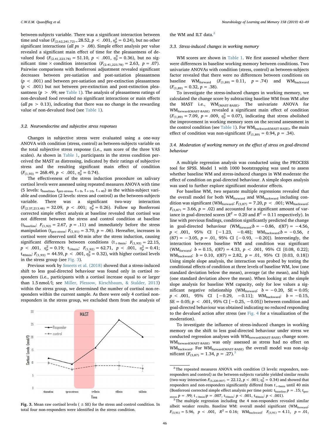C.W.E.M. Quaedflieg et al. *Neurobiology of Learning and Memory 158 (2019) 42–49*

between-subjects variable. There was a significant interaction between time and value  $(F_{(2.62,241.72)=}28.52, p \, < \, .001, \eta_{\rm p}^2 = 0.24)$ , but no other significant interactions (all ps > .08). Simple effect analysis per value revealed a significant main effect of time for the pleasantness of devalued food  $(F_{(2,41,223.78)} = 51.10, p < .001, \eta_{p}^{2} = 0.36)$ , but no significant time  $\times$  condition interaction  $(F_{(2,41,223,78)} = 2.63, p = .07)$ . Pairwise comparisons with Bonferroni adjustment revealed significant decreases between pre-satiation and post-satiation pleasantness  $(p < .001)$  and between pre-satiation and pre-extinction pleasantness  $(p < .001)$  but not between pre-extinction and post-extinction pleasantness ( $p > .99$ ; see [Table 1\)](#page-4-0). The analysis of pleasantness ratings of non-devalued food revealed no significant interactions or main effects (all  $ps > 0.13$ ), indicating that there was no change in the rewarding value of non-devalued food (see [Table 1](#page-4-0)).

#### 3.2. Neuroendocrine and subjective stress responses

Changes in subjective stress were evaluated using a one-way ANOVA with condition (stress, control) as between-subjects variable on the total subjective stress response (i.e., sum score of the three VAS scales). As shown in [Table 1](#page-4-0), participants in the stress condition perceived the MAST as distressing, indicated by their ratings of subjective stress and the resulting significant main effect of condition  $(F_{(1,93)} = 268.49, p \, < .001, \eta_p^2 = 0.74).$ 

The effectiveness of the stress induction procedure on salivary cortisol levels were assessed using repeated measures ANOVA with time (5 levels: t<sub>baseline</sub>, t<sub>pre-stress</sub>, t<sub>+0</sub>, t<sub>+10</sub>, t<sub>+40</sub>) as the within-subject variable and condition (2 levels: stress and control) as the between-subjects variable. There was a significant two-way interaction  $(F_{(2.37,213.48)} = 32.09, p < .001; \eta_p^2 = 0.26$ ). Follow up Bonferroni corrected simple effect analysis at baseline revealed that cortisol was not different between the stress and control condition at baseline ( $t_{\text{baseline}}$ :  $F_{(1,92)} = 2.67$ ,  $p = .11$ ) and immediately before the stress manipulation ( $t_{pre-stress}$ :  $F_{(1,91)} = 3.70$ ,  $p = .06$ ). Hereafter, increases in cortisol were observed until 40 min after the stress induction, causing significant differences between conditions  $(t_{+0min}: F_{(1,93)} = 22.15,$  $p \ll .001, \eta_{\rm p}^2 = 0.19; \ t_{10\text{min}}: \ F_{(1,92)} = 62.71, \ p \ll .001, \eta_{\rm p}^2 = 0.41;$ t<sub>40min</sub>:  $F_{(1,93)} = 44.59, p \, < .001, \eta_{\rm p}^2 = 0.32$ ), with higher cortisol levels in the stress group (see [Fig. 3](#page-5-0)).

Previous work by [Smeets et al. \(2018\)](#page-8-4) showed that a stress-induced shift to less goal-directed behaviour was found only in cortisol responders (i.e., participants with a cortisol increase equal to or larger than 1.5 nmol/l; see [Miller, Plessow, Kirschbaum, & Stalder, 2013\)](#page-7-19) within the stress group, we determined the number of cortisol non-responders within the current sample. As there were only 4 cortisol nonresponders in the stress group, we excluded them from the analysis of

<span id="page-5-0"></span>

Fig. 3. Mean raw cortisol levels ( $\pm$  SE) for the stress and control condition. In total four non-responders were identified in the stress condition.

the WM and ILT data.<sup>[2](#page-5-1)</sup>

#### 3.3. Stress-induced changes in working memory

WM scores are shown in [Table 1](#page-4-0). We first assessed whether there were differences in baseline working memory between conditions. Two univariate ANOVAs with condition (stress, control) as between-subjects factor revealed that there were no differences between conditions on baseline WM<sub>forward</sub>  $(F_{(1,89)} = 0.11, p = .74)$  and WM<sub>backward</sub>  $(F_{(1,89)} = 0.32, p = .38).$ 

To investigate the stress-induced changes in working memory, we calculated the change score by subtracting baseline WM from WM after the MAST i.e., WM(MAST-BASE). The univariate ANOVA for WMforward(MAST-BASE) revealed a significant main effect of condition  $(F_{(1,89)} = 7.09, p = .009, \eta_{\rm p}^2 = 0.07)$ , indicating that stress abolished the improvement in working memory seen on the second assessment in the control condition (see [Table 1\)](#page-4-0). For WM<sub>backward(MAST-BASE)</sub>, the main effect of condition was non-significant  $(F_{(1,89)} = 0.94, p = .34)$ .

#### 3.4. Moderation of working memory on the effect of stress on goal-directed behaviour

A multiple regression analysis was conducted using the PROCESS tool for SPSS. Model 1 with 1000 bootstrapping was used to assess whether baseline WM and stress-induced changes in WM moderate the effect of condition on goal-directed behaviour. A simple slopes analysis was used to further explore significant moderator effects.

For baseline WM, two separate multiple regressions revealed that the overall model for both  $WM_{forward}$  and  $WM_{backward}$  including condition was significant (WM<sub>forward</sub>:  $F_{(3,87)} = 7.20, p < .001$ ; WM<sub>backward</sub>:  $F_{(3,87)} = 3.66$ ,  $p = .02$ ) and accounted for a significant amount of variance in goal-directed scores ( $R^2 = 0.20$  and  $R^2 = 0.11$  respectively). In line with previous findings, condition significantly predicted the change in goal-directed behaviour (WM<sub>forward</sub>: $b = -0.86$ ,  $t(87) = -4.56$ ,  $p < .001$ , 95% CI [-1.23, -0.48]; WM<sub>backward</sub>: $b = -0.56$ , t (87) =  $-3.05$ ,  $p = .01$ , 95% CI [ $-0.93$ ,  $-0.20$ ]). Interestingly, the interaction between baseline WM and condition was significant (WM<sub>forward</sub>:  $b = 0.15$ ,  $t(87) = 4.33$ ,  $p < .001$ , 95% CI [0.08, 0.22]; WM<sub>backward</sub>:  $b = 0.10$ ,  $t(87) = 2.82$ ,  $p = .01$ , 95% CI [0.03, 0.18]) Using simple slope analysis, the interaction was probed by testing the conditional effects of condition at three levels of baseline WM, low (one standard deviation below the mean), average (at the mean), and high (one standard deviation above the mean). When looking at the simple slope analysis for baseline WM capacity, only for low values a significant negative relationship (WM<sub>forward</sub>:  $b = -0.20$ , SE = 0.05;  $p$  < .001, 95% CI [−0.29, −0.11]; WM<sub>backward</sub>:  $b = -0.15$ , SE = 0.05;  $p$  < .001, 95% CI [−0.25, −0.05]) between condition and goal-directed behaviour was obtained indicating no reduced responding to the devalued action after stress (see [Fig. 4](#page-6-0) for a visualization of the moderation).

To investigate the influence of stress-induced changes in working memory on the shift to less goal-directed behaviour under stress we conducted regression analyses with  $\text{WM}_{\text{forward}(\text{MAST-BASE})}$  change score. WMforward(MAST-BASE) was only assessed as stress had no effect on WMbackward. For WMforward(MAST-BASE) the overall model was non-significant  $(F_{(3,87)} = 1.34, p = .27).$  $(F_{(3,87)} = 1.34, p = .27).$  $(F_{(3,87)} = 1.34, p = .27).$ <sup>3</sup>

<span id="page-5-1"></span><sup>2</sup> The repeated measures ANOVA with condition (3 levels: responders, nonresponders and control) as the between-subjects variable yielded similar results (two-way interaction  $F_{(5,220.007)} = 22.12, p < .001; \eta_{\rm p}^2 = 0.34$ ) and showed that responders and non-responders significantly differed from  $t_{+0min}$  until 40 min (Bonferroni corrected simple effect analysis per time point:  $t_{baseline} p = .15$ ;  $t_{pre}$ .

<span id="page-5-2"></span>stress  $p = .99$ ; t<sub>+0min</sub>: $p = .007$ , t<sub>10min</sub>:  $p < .001$ , t<sub>40min</sub>:  $p < .001$ ).<br><sup>3</sup> The multiple regression including the 4 non-responders revealed similar albeit weaker results. Baseline WM: overall model significant (WMforward:  $F_{(3,91)} = 5.96$ ,  $p < .001$ ,  $R^2 = 0.16$ ; WM<sub>backward</sub>:  $F_{(3,91)} = 4.11$ ,  $p = .01$ ,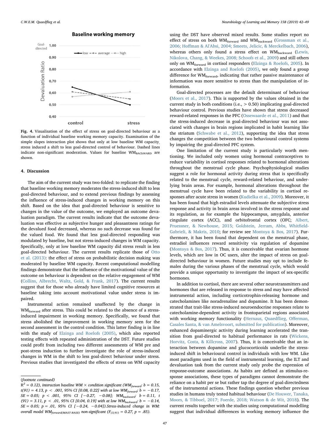#### **Baseline working memory**

<span id="page-6-0"></span>

Fig. 4. Visualisation of the effect of stress on goal-directed behaviour as a function of individual baseline working memory capacity. Examination of the simple slopes interaction plot shows that only at low baseline WM capacity, stress induced a shift to less goal-directed control of behaviour. Dashed lines indicate non-significant moderation. Values for baseline WMBACkWARD are shown.

#### 4. Discussion

The aim of the current study was two-folded: to replicate the finding that baseline working memory moderates the stress-induced shift to less goal-directed behaviour, and to extend previous findings by assessing the influence of stress-induced changes in working memory on this shift. Based on the idea that goal-directed behaviour is sensitive to changes in the value of the outcome, we employed an outcome devaluation paradigm. The current results indicate that the outcome devaluation was effective as subjective hunger and pleasantness ratings for the devalued food decreased, whereas no such decrease was found for the valued food. We found that less goal-directed responding was modulated by baseline, but not stress-induced changes in WM capacity. Specifically, only at low baseline WM capacity did stress result in less goal-directed behaviour. The current results replicate those of [Otto](#page-7-10) [et al. \(2013\)](#page-7-10): the effect of stress on probabilistic decision making was moderated by baseline WM capacity. Recent computational modelling findings demonstrate that the influence of the motivational value of the outcome on behaviour is dependent on the relative engagement of WM ([Collins, Albrecht, Waltz, Gold, & Frank, 2017\)](#page-7-20). The current results suggest that for those who already have limited cognitive resources at baseline taking into account motivational value under stress is impaired.

Instrumental action remained unaffected by the change in WM<sub>forward</sub> after stress. This could be related to the absence of a stressinduced impairment in working memory. Specifically, we found that stress abolished the improvement in working memory seen for the second assessment in the control condition. This latter finding is in line with the study of [Elzinga and Roelofs \(2005\),](#page-7-12) which also reported testing effects with repeated administration of the DST. Future studies could profit from including two different assessments of WM pre and post-stress induction to further investigate the role of stress-induced changes in WM in the shift to less goal-direct behaviour under stress. Previous studies that investigated the effects of stress on WM capacity

using the DST have observed mixed results. Some studies report no effect of stress on both WMforward and WMbackward [\(Grossman et al.,](#page-7-21) 2006; Hoff[man & Al'Absi, 2004; Smeets, Jelicic, & Merckelbach, 2006](#page-7-21)), whereas others only found a stress effect on WM<sub>backward</sub> [\(Lewis,](#page-7-22) [Nikolova, Chang, & Weekes, 2008; Schoofs et al., 2009\)](#page-7-22) and still others only on WM<sub>forward</sub> in cortisol responders ([Elzinga & Roelofs, 2005\)](#page-7-12). In accordance with [Elzinga and Roelofs \(2005\),](#page-7-12) we only found a group difference for WM<sub>forward</sub>, indicating that rather passive maintenance of information was more sensitive to stress than the manipulation of information.

Goal-directed processes are the default determinant of behaviour ([Moors et al., 2017\)](#page-7-8). This is supported by the values obtained in the current study in both conditions (i.e.,  $> 0.50$ ) implicating goal-directed behaviour control. Previous studies have shown that stress decreased reward-related responses in the PFC ([Ossewaarde et al., 2011\)](#page-7-23) and that the stress-induced decrease in goal-directed behaviour was not associated with changes in brain regions implicated in habit learning like the striatum ([Schwabe et al., 2012\)](#page-8-7), supporting the idea that stress changes the competition between the two behavioural control systems by impairing the goal-directed PFC system.

One limitation of the current study is particularly worth mentioning. We included only women using hormonal contraceptives to reduce variability in cortisol responses related to hormonal alterations throughout the menstrual cycle phase. Psychophysiological studies suggest a role for hormonal activity during stress that is specifically related to the menstrual cycle, reward-related behaviour, and underlying brain areas. For example, hormonal alterations throughout the menstrual cycle have been related to the variability in cortisol responses after acute stress in women [\(Kudielka et al., 2009](#page-7-14)). Moreover, it has been found that high estradiol levels attenuate the subjective stress response and activity in brain areas involved in the stress response and its regulation, as for example the hippocampus, amygdala, anterior cingulate cortex (ACC), and orbitofrontal cortex (OFC; [Albert,](#page-7-24) [Pruessner, & Newhouse, 2015; Goldstein, Jerram, Abbs, Whit](#page-7-24)field-[Gabrieli, & Makris, 2010](#page-7-24); for review see [Montoya & Bos, 2017\)](#page-7-25). Furthermore, it has been found that dependent on the menstrual phase, estradiol influences reward sensitivity via regulation of dopamine ([Montoya & Bos, 2017\)](#page-7-25). Thus, it is conceivable that ovarian hormone levels, which are low in OC users, alter the impact of stress on goaldirected behaviour in women. Future studies may opt to include females during the various phases of the menstrual cycle, which would provide a unique opportunity to investigate the impact of sex-specific hormones.

In addition to cortisol, there are several other neurotransmitters and hormones that are released in response to stress and may have affected instrumental action, including corticotrophin-releasing hormone and catecholamines like noradrenaline and dopamine. It has been demonstrated that trait-like stress-induced neuroendocrine responses relate to catecholamine-dependent activity in frontoparietal regions associated with working memory functionality ([Hernaus, Quaed](#page-7-26)flieg, Offerman, [Casales Santa, & van Amelsvoort, submitted for publication](#page-7-26)). Moreover, enhanced dopaminergic activity during learning accelerated the transition from goal-directed to habitual performance in rats [\(Wickens,](#page-8-8) [Horvitz, Costa, & Killcross, 2007](#page-8-8)). Thus, it is conceivable that an interaction between dopamine and glucocorticoids underlie the stressinduced shift in behavioural control in individuals with low WM. Like most paradigms used in the field of instrumental learning, the ILT and devaluation task from the current study only probe the expression of response-outcome associations. As habits are defined as stimulus-response associations, these types of paradigms cannot demonstrate the reliance on a habit per se but rather tap the degree of goal-directedness of the instrumental actions. These findings question whether previous studies in humans truly tested habitual behaviour ([De Houwer, Tanaka,](#page-7-27) [Moors, & Tibboel, 2017; Foerde, 2018; Watson & de Wit, 2018](#page-7-27)). The current results together with the studies using computational modelling suggest that individual differences in working memory influence the

<sup>(</sup>footnote continued)

 $R^2 = 0.12$ ), interaction baseline WM  $\times$  condition significant (WM<sub>forward</sub>:  $b = 0.15$ , t(91) = 4.13, p < .001, 95% CI [0.08, 0.22] with at low  $WM_{forward}$ :  $b = -0.17$ ,  $SE = 0.05$ ;  $p < .001$ , 95% CI  $[-0.27, -0.08]$ ; WM<sub>backward</sub>:  $b = 0.11$ , t (91) = 3.11, p < .01, 95% CI [0.04, 0.19] with at low WM<sub>backward</sub>:  $b = -0.14$ ,  $SE = 0.05$ ;  $p = .01$ , 95% CI [-0.24, -0.04]). Stress-induced change in WM: overall model WMforward(MAST-BASE) non-significant ( $F_{(3,91)} = 0.27$ ,  $p = .85$ ).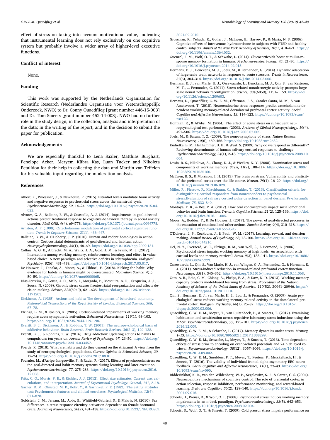effect of stress on taking into account motivational value, indicating that instrumental learning does not rely exclusively on one cognitive system but probably involve a wider array of higher-level executive functions.

#### Conflict of interest

None.

### Funding

This work was supported by the Netherlands Organization for Scientific Research (Nederlandse Organisatie voor Wetenschappelijk Onderzoek, NWO) to Dr. Conny Quaedflieg [grant number 446-15-003] and Dr. Tom Smeets [grant number 452-14-003]. NWO had no further role in the study design; in the collection, analysis and interpretation of the data; in the writing of the report; and in the decision to submit the paper for publication.

#### Acknowledgements

We are especially thankful to Lena Saxler, Matthias Burghart, Penelope Acker, Meryem Kübra Kas, Luan Tucker and Nikoleta Petalidou for their help in collecting the data and Martijn van Teffelen for his valuable input regarding the moderation analysis.

#### References

- <span id="page-7-24"></span>Albert, K., Pruessner, J., & Newhouse, P. (2015). Estradiol levels modulate brain activity and negative responses to psychosocial stress across the menstrual cycle. Psychoneuroendocrinology, 59, 14–24. [https://doi.org/10.1016/j.psyneuen.2015.04.](https://doi.org/10.1016/j.psyneuen.2015.04.022) [022](https://doi.org/10.1016/j.psyneuen.2015.04.022).
- <span id="page-7-15"></span>Alvares, G. A., Balleine, B. W., & Guastella, A. J. (2014). Impairments in goal-directed actions predict treatment response to cognitive-behavioral therapy in social anxiety disorder. PLoS ONE, 9(4), e94778. <https://doi.org/10.1371/journal.pone.0094778>.
- <span id="page-7-9"></span>[Arnsten, A. F. \(1998\). Catecholamine modulation of prefrontal cortical cognitive func](http://refhub.elsevier.com/S1074-7427(19)30010-3/h0015)tion. [Trends in Cognitive Sciences, 2](http://refhub.elsevier.com/S1074-7427(19)30010-3/h0015)(11), 436–447. Balleine, B. W., & O'Doherty, J. P. (2010). Human and rodent homologies in action
- <span id="page-7-0"></span>control: Corticostriatal determinants of goal-directed and habitual action. Neuropsychopharmacology, 35(1), 48–69. <https://doi.org/10.1038/npp.2009.131>.
- <span id="page-7-20"></span>Collins, A. G. E., Albrecht, M. A., Waltz, J. A., Gold, J. M., & Frank, M. J. (2017). Interactions among working memory, reinforcement learning, and effort in valuebased choice: A new paradigm and selective deficits in schizophrenia. Biological Psychiatry, 82(6), 431–439. <https://doi.org/10.1016/j.biopsych.2017.05.017>.
- <span id="page-7-27"></span>De Houwer, J., Tanaka, A., Moors, A., & Tibboel, H. (2018). Kicking the habit: Why evidence for habits in humans might be overestimated. Motivation Science, 4(1), 50–59. [https://doi.org/10.1037/mot0000065.](https://doi.org/10.1037/mot0000065)
- <span id="page-7-2"></span>Dias-Ferreira, E., Sousa, J. C., Melo, I., Morgado, P., Mesquita, A. R., Cerqueira, J. J., ... Sousa, N. (2009). Chronic stress causes frontostriatal reorganization and affects decision-making. Science, 325(5940), 621–625. [https://doi.org/10.1126/science.](https://doi.org/10.1126/science.1171203) [1171203.](https://doi.org/10.1126/science.1171203)
- [Dickinson, A. \(1985\). Actions and habits: The development of behavioral autonomy.](http://refhub.elsevier.com/S1074-7427(19)30010-3/h0040) [Philosophical Transactions of the Royal Society of London: Biological Sciences, 308](http://refhub.elsevier.com/S1074-7427(19)30010-3/h0040), 67–[78](http://refhub.elsevier.com/S1074-7427(19)30010-3/h0040).
- <span id="page-7-12"></span>Elzinga, B. M., & Roelofs, K. (2005). Cortisol-induced impairments of working memory require acute sympathetic activation. Behavioral Neuroscience, 119(1), 98–103. [https://doi.org/10.1037/0735-7044.119.1.98.](https://doi.org/10.1037/0735-7044.119.1.98)
- [Everitt, B. J., Dickinson, A., & Robbins, T. W. \(2001\). The neuropsychological basis of](http://refhub.elsevier.com/S1074-7427(19)30010-3/h0050) addictive behaviour. [Brain Research. Brain Research Reviews, 36](http://refhub.elsevier.com/S1074-7427(19)30010-3/h0050)(2–3), 129–138.
- <span id="page-7-5"></span>Everitt, B. J., & Robbins, T. W. (2016). Drug addiction: Updating actions to habits to compulsions ten years on. Annual Review of Psychology, 67, 23–50. [https://doi.org/](https://doi.org/10.1146/annurev-psych-122414-033457) [10.1146/annurev-psych-122414-033457](https://doi.org/10.1146/annurev-psych-122414-033457).
- Foerde, K. (2018). What are habits and do they depend on the striatum? A view from the study of neuropsychological populations. Current Opinion in Behavioral Sciences, 20, 17–24. <https://doi.org/10.1016/j.cobeha.2017.08.011>.
- <span id="page-7-3"></span>Fournier, M., d'Arripe-Longueville, F., & Radel, R. (2017). Effects of psychosocial stress on the goal-directed and habit memory systems during learning and later execution. Psychoneuroendocrinology, 77, 275–283. [https://doi.org/10.1016/j.psyneuen.2016.](https://doi.org/10.1016/j.psyneuen.2016.12.008) [12.008](https://doi.org/10.1016/j.psyneuen.2016.12.008).
- <span id="page-7-18"></span>[Fritz, C. O., Morris, P. E., & Richler, J. J. \(2012\). E](http://refhub.elsevier.com/S1074-7427(19)30010-3/h0070)ffect size estimates: Current use, calculations, and interpretation. [Journal of Experimental Psychology: General, 141](http://refhub.elsevier.com/S1074-7427(19)30010-3/h0070), 2–18.
- <span id="page-7-17"></span>[Garner, D. M., Olmsted, M. P., Bohr, Y., & Gar](http://refhub.elsevier.com/S1074-7427(19)30010-3/h0075)finkel, P. E. (1982). The eating attitudes [test: Psychometric features and clinical correlates.](http://refhub.elsevier.com/S1074-7427(19)30010-3/h0075) Psychological Medicine, 12(4), 871–[878](http://refhub.elsevier.com/S1074-7427(19)30010-3/h0075).
- Goldstein, J. M., Jerram, M., Abbs, B., Whitfield-Gabrieli, S., & Makris, N. (2010). Sex differences in stress response circuitry activation dependent on female hormonal cycle. Journal of Neuroscience, 30(2), 431–438. [https://doi.org/10.1523/JNEUROSCI.](https://doi.org/10.1523/JNEUROSCI.3021-09.2010)

[3021-09.2010](https://doi.org/10.1523/JNEUROSCI.3021-09.2010).

- <span id="page-7-21"></span>Grossman, R., Yehuda, R., Golier, J., McEwen, B., Harvey, P., & Maria, N. S. (2006). Cognitive effects of intravenous hydrocortisone in subjects with PTSD and healthy control subjects. Annals of the New York Academy of Sciences, 1071, 410–421. [https://](https://doi.org/10.1196/annals.1364.032) [doi.org/10.1196/annals.1364.032](https://doi.org/10.1196/annals.1364.032).
- Guenzel, F. M., Wolf, O. T., & Schwabe, L. (2014). Glucocorticoids boost stimulus-response memory formation in humans. Psychoneuroendocrinology, 45, 21-30. [https://](https://doi.org/10.1016/j.psyneuen.2014.02.015) [doi.org/10.1016/j.psyneuen.2014.02.015](https://doi.org/10.1016/j.psyneuen.2014.02.015).
- Hermans, E. J., Henckens, M. J., Joels, M., & Fernandez, G. (2014). Dynamic adaptation of large-scale brain networks in response to acute stressors. Trends in Neurosciences, 37(6), 304–314. [https://doi.org/10.1016/j.tins.2014.03.006.](https://doi.org/10.1016/j.tins.2014.03.006)
- <span id="page-7-7"></span>Hermans, E. J., van Marle, H. J., Ossewaarde, L., Henckens, M. J., Qin, S., van Kesteren, M. T., ... Fernandez, G. (2011). Stress-related noradrenergic activity prompts largescale neural network reconfiguration. Science, 334(6059), 1151–1153. [https://doi.](https://doi.org/10.1126/science.1209603) [org/10.1126/science.1209603.](https://doi.org/10.1126/science.1209603)
- <span id="page-7-26"></span>Hernaus, D., Quaedflieg, C. W. E. M., Offerman, J. S., Casales Santa, M. M., & van Amelsvoort, T. (2018). Neuroendocrine stress responses predict catecholamine-dependent working memory-related dorsolateral prefrontal cortex activity. Social Cognitive and Affective Neuroscience, 13, 114–123. [https://doi.org/10.1093/scan/](https://doi.org/10.1093/scan/nsx122) [nsx122.](https://doi.org/10.1093/scan/nsx122)
- Hoffman, R., & Al'Absi, M. (2004). The effect of acute stress on subsequent neuropsychological test performance (2003). Archives of Clinical Neuropsychology, 19(4), 497–506. <https://doi.org/10.1016/j.acn.2003.07.005>.
- <span id="page-7-6"></span>Joels, M., & Baram, T. Z. (2009). The neuro-symphony of stress. Nature Reviews Neuroscience, 10(6), 459–466. <https://doi.org/10.1038/nrn2632>.
- <span id="page-7-14"></span>Kudielka, B. M., Hellhammer, D. H., & Wust, S. (2009). Why do we respond so differently? Reviewing determinants of human salivary cortisol responses to challenge. Psychoneuroendocrinology, 34(1), 2–18. [https://doi.org/10.1016/j.psyneuen.2008.10.](https://doi.org/10.1016/j.psyneuen.2008.10.004) [004](https://doi.org/10.1016/j.psyneuen.2008.10.004).
- <span id="page-7-22"></span>Lewis, R. S., Nikolova, A., Chang, D. J., & Weekes, N. Y. (2008). Examination stress and components of working memory. Stress, 11(2), 108–114. [https://doi.org/10.1080/](https://doi.org/10.1080/10253890701535160) [10253890701535160.](https://doi.org/10.1080/10253890701535160)
- <span id="page-7-11"></span>McEwen, B. S., & Morrison, J. H. (2013). The brain on stress: Vulnerability and plasticity of the prefrontal cortex over the life course. Neuron, 79(1), 16–29. [https://doi.org/](https://doi.org/10.1016/j.neuron.2013.06.028) [10.1016/j.neuron.2013.06.028](https://doi.org/10.1016/j.neuron.2013.06.028).
- <span id="page-7-19"></span>[Miller, R., Plessow, F., Kirschbaum, C., & Stalder, T. \(2013\). Classi](http://refhub.elsevier.com/S1074-7427(19)30010-3/h0135)fication criteria for[distinguishing cortisol responders from nonresponders to psychosocial](http://refhub.elsevier.com/S1074-7427(19)30010-3/h0135) [stress:Evaluation of salivary cortisol pulse detection in panel designs.](http://refhub.elsevier.com/S1074-7427(19)30010-3/h0135) Psychosomatic [Medicine, 75](http://refhub.elsevier.com/S1074-7427(19)30010-3/h0135), 832–840.
- <span id="page-7-25"></span>Montoya, E. R., & Bos, P. A. (2017). How oral contraceptives impact social-emotional behavior and brain function. Trends in Cognitive Sciences, 21(2), 125–136. [https://doi.](https://doi.org/10.1016/j.tics.2016.11.005) [org/10.1016/j.tics.2016.11.005](https://doi.org/10.1016/j.tics.2016.11.005).
- <span id="page-7-8"></span>Moors, A., Boddez, Y., & De Houwer, J. (2017). The power of goal-directed processes in the causation of emotional and other actions. Emotion Review, 9(4), 310–318. [https://](https://doi.org/10.1177/1754073916669595) [doi.org/10.1177/1754073916669595.](https://doi.org/10.1177/1754073916669595)
- <span id="page-7-1"></span>O'Doherty, J. P., Cockburn, J., & Pauli, W. M. (2017). Learning, reward, and decision making. Annual Review of Psychology, 68, 73–100. [https://doi.org/10.1146/annurev](https://doi.org/10.1146/annurev-psych-010416-044216)[psych-010416-044216.](https://doi.org/10.1146/annurev-psych-010416-044216)
- Oei, N. Y., Everaerd, W. T., Elzinga, B. M., van Well, S., & Bermond, B. (2006). Psychosocial stress impairs working memory at high loads: An association with cortisol levels and memory retrieval. Stress, 9(3), 133–141. [https://doi.org/10.1080/](https://doi.org/10.1080/10253890600965773) [10253890600965773.](https://doi.org/10.1080/10253890600965773)
- <span id="page-7-23"></span>Ossewaarde, L., Qin, S., Van Marle, H. J., van Wingen, G. A., Fernandez, G., & Hermans, E. J. (2011). Stress-induced reduction in reward-related prefrontal cortex function. Neuroimage, 55(1), 345–352. [https://doi.org/10.1016/j.neuroimage.2010.11.068.](https://doi.org/10.1016/j.neuroimage.2010.11.068)
- <span id="page-7-10"></span>Otto, A. R., Raio, C. M., Chiang, A., Phelps, E. A., & Daw, N. D. (2013). Working-memory capacity protects model-based learning from stress. Proceedings of the National Academy of Sciences of the United States of America, 110(52), 20941–20946. [https://](https://doi.org/10.1073/pnas.1312011110) [doi.org/10.1073/pnas.1312011110.](https://doi.org/10.1073/pnas.1312011110)
- Qin, S., Hermans, E. J., van Marle, H. J., Luo, J., & Fernandez, G. (2009). Acute psychological stress reduces working memory-related activity in the dorsolateral prefrontal cortex. Biological Psychiatry, 66(1), 25–32. [https://doi.org/10.1016/j.](https://doi.org/10.1016/j.biopsych.2009.03.006) [biopsych.2009.03.006](https://doi.org/10.1016/j.biopsych.2009.03.006).
- <span id="page-7-13"></span>Quaedflieg, C. W. E. M., Meyer, T., van Ruitenbeek, P., & Smeets, T. (2017). Examining habituation and sensitization across repetitive laboratory stress inductions using the MAST. Psychoneuroendocrinology, 77, 175–181. [https://doi.org/10.1016/j.psyneuen.](https://doi.org/10.1016/j.psyneuen.2016.12.009) [2016.12.009](https://doi.org/10.1016/j.psyneuen.2016.12.009).
- <span id="page-7-4"></span>Quaedflieg, C. W. E. M., & Schwabe, L. (2017). Memory dynamics under stress. Memory, 1–13. [https://doi.org/10.1080/09658211.2017.1338299.](https://doi.org/10.1080/09658211.2017.1338299)
- <span id="page-7-16"></span>Quaedflieg, C. W. E. M., Schwabe, L., Meyer, T., & Smeets, T. (2013). Time dependent effects of stress prior to encoding on event-related potentials and 24 h delayed retrieval. Psychoneuroendocrinology, 38(12), 3057–3069. [https://doi.org/10.1016/j.](https://doi.org/10.1016/j.psyneuen.2013.09.002) [psyneuen.2013.09.002.](https://doi.org/10.1016/j.psyneuen.2013.09.002)
- Quaedflieg, C. W. E. M., Smulders, F. T., Meyer, T., Peeters, F., Merckelbach, H., & Smeets, T. (2016). The validity of individual frontal alpha asymmetry EEG neurofeedback. Social Cognitive and Affective Neuroscience, 11(1), 33–43. [https://doi.org/](https://doi.org/10.1093/scan/nsv090) [10.1093/scan/nsv090.](https://doi.org/10.1093/scan/nsv090)
- Ridderinkhof, K. R., van den Wildenberg, W. P., Segalowitz, S. J., & Carter, C. S. (2004). Neurocognitive mechanisms of cognitive control: The role of prefrontal cortex in action selection, response inhibition, performance monitoring, and reward-based learning. Brain and Cognition, 56(2), 129–140. [https://doi.org/10.1016/j.bandc.](https://doi.org/10.1016/j.bandc.2004.09.016) [2004.09.016](https://doi.org/10.1016/j.bandc.2004.09.016).
- Schoofs, D., Preuss, D., & Wolf, O. T. (2008). Psychosocial stress induces working memory impairments in an n-back paradigm. Psychoneuroendocrinology, 33(5), 643–653. <https://doi.org/10.1016/j.psyneuen.2008.02.004>.
- Schoofs, D., Wolf, O. T., & Smeets, T. (2009). Cold pressor stress impairs performance on